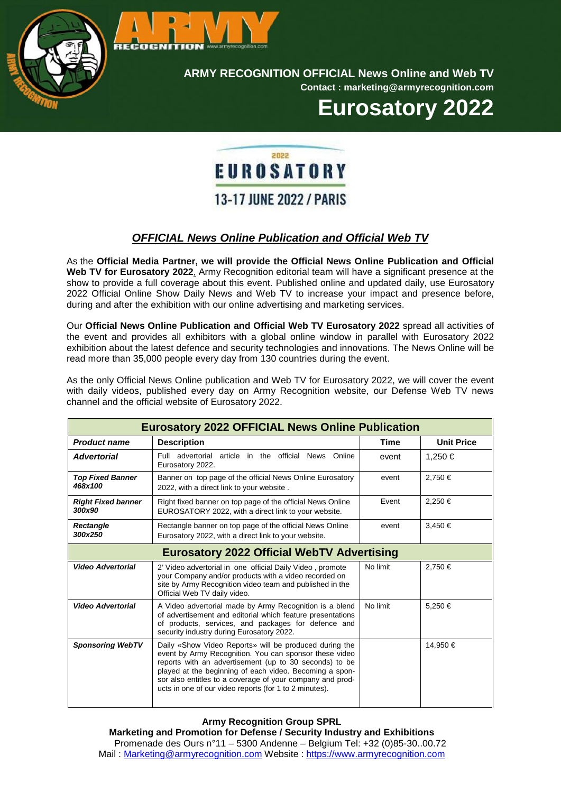

**ARMY RECOGNITION OFFICIAL News Online and Web TV**

**Contact : marketing@armyrecognition.com**

**Eurosatory 2022**

## 2022 EUROSATORY **13-17 JUNE 2022 / PARIS**

## *OFFICIAL News Online Publication and Official Web TV*

As the **Official Media Partner, we will provide the Official News Online Publication and Official Web TV for Eurosatory 2022**, Army Recognition editorial team will have a significant presence at the show to provide a full coverage about this event. Published online and updated daily, use Eurosatory 2022 Official Online Show Daily News and Web TV to increase your impact and presence before, during and after the exhibition with our online advertising and marketing services.

Our **Official News Online Publication and Official Web TV Eurosatory 2022** spread all activities of the event and provides all exhibitors with a global online window in parallel with Eurosatory 2022 exhibition about the latest defence and security technologies and innovations. The News Online will be read more than 35,000 people every day from 130 countries during the event.

As the only Official News Online publication and Web TV for Eurosatory 2022, we will cover the event with daily videos, published every day on Army Recognition website, our Defense Web TV news channel and the official website of Eurosatory 2022.

| <b>Eurosatory 2022 OFFICIAL News Online Publication</b> |                                                                                                                                                                                                                                                                                                                                                              |          |                   |  |
|---------------------------------------------------------|--------------------------------------------------------------------------------------------------------------------------------------------------------------------------------------------------------------------------------------------------------------------------------------------------------------------------------------------------------------|----------|-------------------|--|
| <b>Product name</b>                                     | <b>Description</b>                                                                                                                                                                                                                                                                                                                                           | Time     | <b>Unit Price</b> |  |
| <b>Advertorial</b>                                      | article in the official News Online<br>Full advertorial<br>Eurosatory 2022.                                                                                                                                                                                                                                                                                  | event    | 1.250 €           |  |
| <b>Top Fixed Banner</b><br>468x100                      | Banner on top page of the official News Online Eurosatory<br>2022, with a direct link to your website.                                                                                                                                                                                                                                                       | event    | 2,750 €           |  |
| <b>Right Fixed banner</b><br>300x90                     | Right fixed banner on top page of the official News Online<br>EUROSATORY 2022, with a direct link to your website.                                                                                                                                                                                                                                           | Event    | 2.250 €           |  |
| Rectangle<br>300x250                                    | Rectangle banner on top page of the official News Online<br>Eurosatory 2022, with a direct link to your website.                                                                                                                                                                                                                                             | event    | 3,450 €           |  |
| <b>Eurosatory 2022 Official WebTV Advertising</b>       |                                                                                                                                                                                                                                                                                                                                                              |          |                   |  |
| <b>Video Advertorial</b>                                | 2' Video advertorial in one official Daily Video, promote<br>your Company and/or products with a video recorded on<br>site by Army Recognition video team and published in the<br>Official Web TV daily video.                                                                                                                                               | No limit | 2,750 €           |  |
| <b>Video Advertorial</b>                                | A Video advertorial made by Army Recognition is a blend<br>of advertisement and editorial which feature presentations<br>of products, services, and packages for defence and<br>security industry during Eurosatory 2022.                                                                                                                                    | No limit | 5,250€            |  |
| <b>Sponsoring WebTV</b>                                 | Daily «Show Video Reports» will be produced during the<br>event by Army Recognition. You can sponsor these video<br>reports with an advertisement (up to 30 seconds) to be<br>played at the beginning of each video. Becoming a spon-<br>sor also entitles to a coverage of your company and prod-<br>ucts in one of our video reports (for 1 to 2 minutes). |          | 14,950 €          |  |

**Army Recognition Group SPRL**

**Marketing and Promotion for Defense / Security Industry and Exhibitions** Promenade des Ours n°11 – 5300 Andenne – Belgium Tel: +32 (0)85-30..00.72 Mail : Marketing@armyrecognition.com Website : https://www.armyrecognition.com